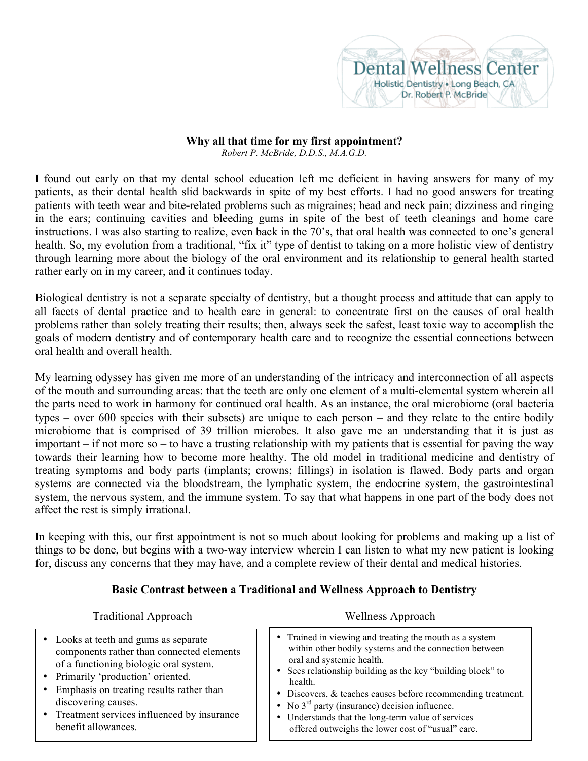

## **Why all that time for my first appointment?**

*Robert P. McBride, D.D.S., M.A.G.D.*

I found out early on that my dental school education left me deficient in having answers for many of my patients, as their dental health slid backwards in spite of my best efforts. I had no good answers for treating patients with teeth wear and bite**-**related problems such as migraines; head and neck pain; dizziness and ringing in the ears; continuing cavities and bleeding gums in spite of the best of teeth cleanings and home care instructions. I was also starting to realize, even back in the 70's, that oral health was connected to one's general health. So, my evolution from a traditional, "fix it" type of dentist to taking on a more holistic view of dentistry through learning more about the biology of the oral environment and its relationship to general health started rather early on in my career, and it continues today.

Biological dentistry is not a separate specialty of dentistry, but a thought process and attitude that can apply to all facets of dental practice and to health care in general: to concentrate first on the causes of oral health problems rather than solely treating their results; then, always seek the safest, least toxic way to accomplish the goals of modern dentistry and of contemporary health care and to recognize the essential connections between oral health and overall health.

My learning odyssey has given me more of an understanding of the intricacy and interconnection of all aspects of the mouth and surrounding areas: that the teeth are only one element of a multi-elemental system wherein all the parts need to work in harmony for continued oral health. As an instance, the oral microbiome (oral bacteria types – over 600 species with their subsets) are unique to each person – and they relate to the entire bodily microbiome that is comprised of 39 trillion microbes. It also gave me an understanding that it is just as important – if not more so – to have a trusting relationship with my patients that is essential for paving the way towards their learning how to become more healthy. The old model in traditional medicine and dentistry of treating symptoms and body parts (implants; crowns; fillings) in isolation is flawed. Body parts and organ systems are connected via the bloodstream, the lymphatic system, the endocrine system, the gastrointestinal system, the nervous system, and the immune system. To say that what happens in one part of the body does not affect the rest is simply irrational.

In keeping with this, our first appointment is not so much about looking for problems and making up a list of things to be done, but begins with a two-way interview wherein I can listen to what my new patient is looking for, discuss any concerns that they may have, and a complete review of their dental and medical histories.

## **Basic Contrast between a Traditional and Wellness Approach to Dentistry**

| <b>Traditional Approach</b>                                                                                                                                                                                                                                                                                    | Wellness Approach                                                                                                                                                                                                                                                                                                                                                                                                                                       |
|----------------------------------------------------------------------------------------------------------------------------------------------------------------------------------------------------------------------------------------------------------------------------------------------------------------|---------------------------------------------------------------------------------------------------------------------------------------------------------------------------------------------------------------------------------------------------------------------------------------------------------------------------------------------------------------------------------------------------------------------------------------------------------|
| • Looks at teeth and gums as separate<br>components rather than connected elements<br>of a functioning biologic oral system.<br>• Primarily 'production' oriented.<br>• Emphasis on treating results rather than<br>discovering causes.<br>• Treatment services influenced by insurance<br>benefit allowances. | • Trained in viewing and treating the mouth as a system<br>within other bodily systems and the connection between<br>oral and systemic health.<br>• Sees relationship building as the key "building block" to<br>health.<br>• Discovers, & teaches causes before recommending treatment.<br>• No $3rd$ party (insurance) decision influence.<br>• Understands that the long-term value of services<br>offered outweighs the lower cost of "usual" care. |